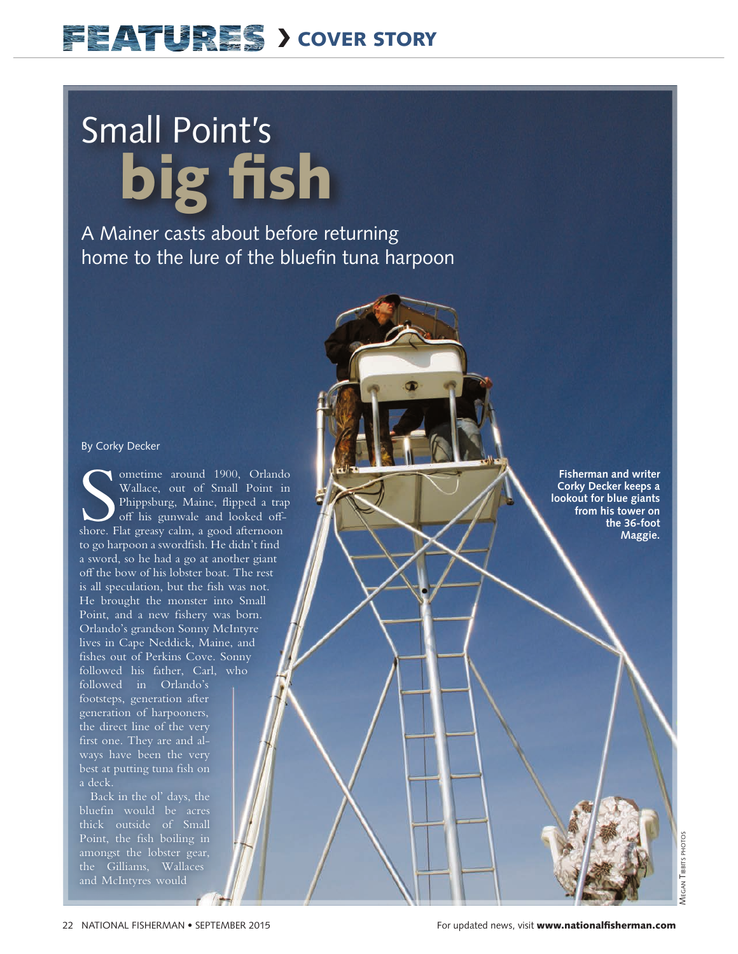## **EEATURES > COVER STORY**

# Small Point's big fish

A Mainer casts about before returning home to the lure of the bluefin tuna harpoon

#### By Corky Decker

Sometime around 1900, Orland<br>
Wallace, out of Small Point in<br>
Phippsburg, Maine, flipped a trap<br>
off his gunwale and looked off-<br>
shore. Flat greasy calm, a good afternoon ometime around 1900, Orlando Wallace, out of Small Point in Phippsburg, Maine, fipped a trap off his gunwale and looked offto go harpoon a swordfish. He didn't find a sword, so he had a go at another giant off the bow of his lobster boat. The rest is all speculation, but the fish was not. He brought the monster into Small Point, and a new fishery was born. Orlando's grandson Sonny McIntyre lives in Cape Neddick, Maine, and fishes out of Perkins Cove. Sonny followed his father, Carl, who

followed in Orlando's footsteps, generation after generation of harpooners, the direct line of the very frst one. They are and always have been the very best at putting tuna fish on a deck.

Back in the ol' days, the bluefn would be acres thick outside of Small Point, the fish boiling in amongst the lobster gear, the Gilliams, Wallaces and McIntyres would

**Fisherman and writer Corky Decker keeps a lookout for blue giants from his tower on the 36-foot Maggie.**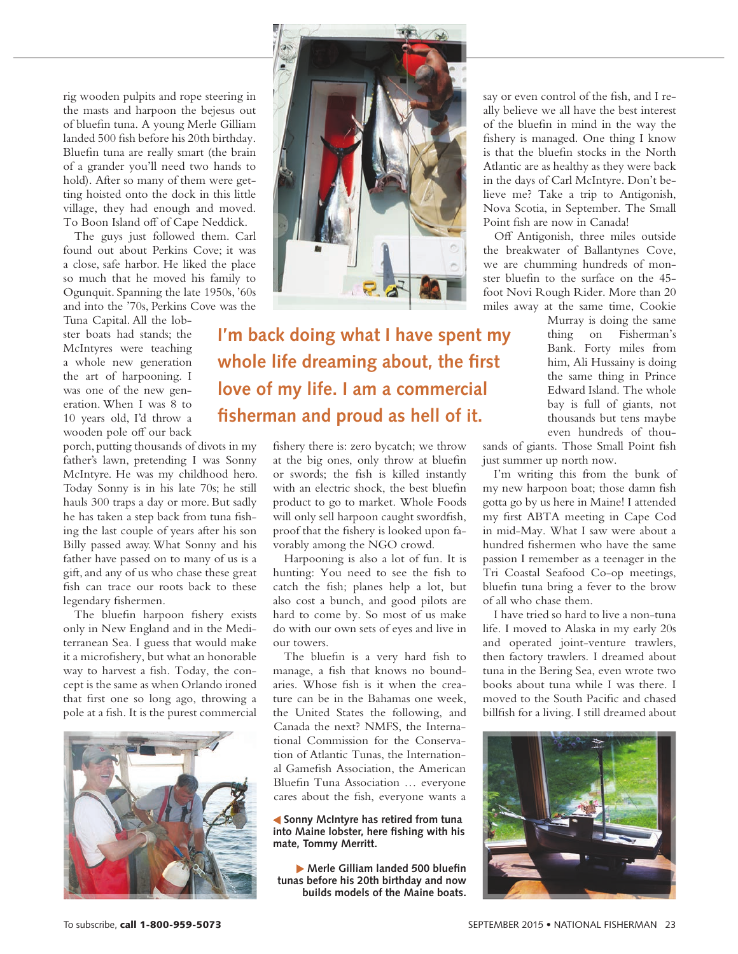rig wooden pulpits and rope steering in the masts and harpoon the bejesus out of bluefn tuna. A young Merle Gilliam landed 500 fsh before his 20th birthday. Bluefn tuna are really smart (the brain of a grander you'll need two hands to hold). After so many of them were getting hoisted onto the dock in this little village, they had enough and moved. To Boon Island off of Cape Neddick.

The guys just followed them. Carl found out about Perkins Cove; it was a close, safe harbor. He liked the place so much that he moved his family to Ogunquit. Spanning the late 1950s, '60s and into the '70s, Perkins Cove was the

Tuna Capital. All the lobster boats had stands; the McIntyres were teaching a whole new generation the art of harpooning. I was one of the new generation. When I was 8 to 10 years old, I'd throw a wooden pole off our back

porch, putting thousands of divots in my father's lawn, pretending I was Sonny McIntyre. He was my childhood hero. Today Sonny is in his late 70s; he still hauls 300 traps a day or more. But sadly he has taken a step back from tuna fishing the last couple of years after his son Billy passed away. What Sonny and his father have passed on to many of us is a gift, and any of us who chase these great fsh can trace our roots back to these legendary fshermen.

The bluefin harpoon fishery exists only in New England and in the Mediterranean Sea. I guess that would make it a microfshery, but what an honorable way to harvest a fish. Today, the concept is the same as when Orlando ironed that frst one so long ago, throwing a pole at a fsh. It is the purest commercial





**I'm back doing what I have spent my whole life dreaming about, the first love of my life. I am a commercial fisherman and proud as hell of it.**

> fshery there is: zero bycatch; we throw at the big ones, only throw at bluefn or swords; the fsh is killed instantly with an electric shock, the best bluefn product to go to market. Whole Foods will only sell harpoon caught swordfish, proof that the fshery is looked upon favorably among the NGO crowd.

> Harpooning is also a lot of fun. It is hunting: You need to see the fish to catch the fsh; planes help a lot, but also cost a bunch, and good pilots are hard to come by. So most of us make do with our own sets of eyes and live in our towers.

> The bluefin is a very hard fish to manage, a fish that knows no boundaries. Whose fsh is it when the creature can be in the Bahamas one week, the United States the following, and Canada the next? NMFS, the International Commission for the Conservation of Atlantic Tunas, the International Gamefsh Association, the American Bluefn Tuna Association … everyone cares about the fsh, everyone wants a

> **Sonny McIntyre has retired from tuna into Maine lobster, here fishing with his mate, Tommy Merritt.**

 **Merle Gilliam landed 500 bluefin tunas before his 20th birthday and now builds models of the Maine boats.** say or even control of the fish, and I really believe we all have the best interest of the bluefn in mind in the way the fshery is managed. One thing I know is that the bluefn stocks in the North Atlantic are as healthy as they were back in the days of Carl McIntyre. Don't believe me? Take a trip to Antigonish, Nova Scotia, in September. The Small Point fish are now in Canada!

Of Antigonish, three miles outside the breakwater of Ballantynes Cove, we are chumming hundreds of monster bluefin to the surface on the 45foot Novi Rough Rider. More than 20 miles away at the same time, Cookie

> Murray is doing the same thing on Fisherman's Bank. Forty miles from him, Ali Hussainy is doing the same thing in Prince Edward Island. The whole bay is full of giants, not thousands but tens maybe even hundreds of thou-

sands of giants. Those Small Point fish just summer up north now.

I'm writing this from the bunk of my new harpoon boat; those damn fsh gotta go by us here in Maine! I attended my frst ABTA meeting in Cape Cod in mid-May. What I saw were about a hundred fshermen who have the same passion I remember as a teenager in the Tri Coastal Seafood Co-op meetings, bluefn tuna bring a fever to the brow of all who chase them.

I have tried so hard to live a non-tuna life. I moved to Alaska in my early 20s and operated joint-venture trawlers, then factory trawlers. I dreamed about tuna in the Bering Sea, even wrote two books about tuna while I was there. I moved to the South Pacifc and chased billfsh for a living. I still dreamed about

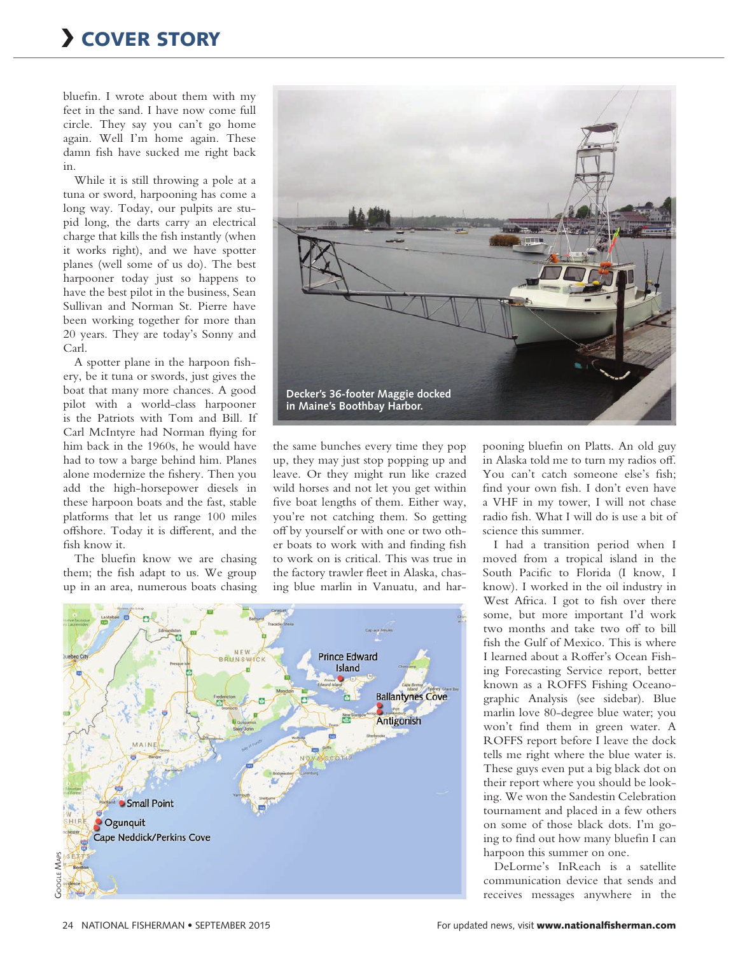bluefn. I wrote about them with my feet in the sand. I have now come full circle. They say you can't go home again. Well I'm home again. These damn fish have sucked me right back in.

While it is still throwing a pole at a tuna or sword, harpooning has come a long way. Today, our pulpits are stupid long, the darts carry an electrical charge that kills the fsh instantly (when it works right), and we have spotter planes (well some of us do). The best harpooner today just so happens to have the best pilot in the business, Sean Sullivan and Norman St. Pierre have been working together for more than 20 years. They are today's Sonny and Carl.

A spotter plane in the harpoon fshery, be it tuna or swords, just gives the boat that many more chances. A good pilot with a world-class harpooner is the Patriots with Tom and Bill. If Carl McIntyre had Norman fying for him back in the 1960s, he would have had to tow a barge behind him. Planes alone modernize the fshery. Then you add the high-horsepower diesels in these harpoon boats and the fast, stable platforms that let us range 100 miles ofshore. Today it is diferent, and the fish know it.

The bluefin know we are chasing them; the fish adapt to us. We group up in an area, numerous boats chasing



the same bunches every time they pop up, they may just stop popping up and leave. Or they might run like crazed wild horses and not let you get within five boat lengths of them. Either way, you're not catching them. So getting of by yourself or with one or two other boats to work with and fnding fsh to work on is critical. This was true in the factory trawler feet in Alaska, chasing blue marlin in Vanuatu, and har-



pooning bluefn on Platts. An old guy in Alaska told me to turn my radios of. You can't catch someone else's fish; fnd your own fsh. I don't even have a VHF in my tower, I will not chase radio fsh. What I will do is use a bit of science this summer.

I had a transition period when I moved from a tropical island in the South Pacifc to Florida (I know, I know). I worked in the oil industry in West Africa. I got to fish over there some, but more important I'd work two months and take two off to bill fsh the Gulf of Mexico. This is where I learned about a Roffer's Ocean Fishing Forecasting Service report, better known as a ROFFS Fishing Oceanographic Analysis (see sidebar). Blue marlin love 80-degree blue water; you won't fnd them in green water. A ROFFS report before I leave the dock tells me right where the blue water is. These guys even put a big black dot on their report where you should be looking. We won the Sandestin Celebration tournament and placed in a few others on some of those black dots. I'm going to fnd out how many bluefn I can harpoon this summer on one.

DeLorme's InReach is a satellite communication device that sends and receives messages anywhere in the